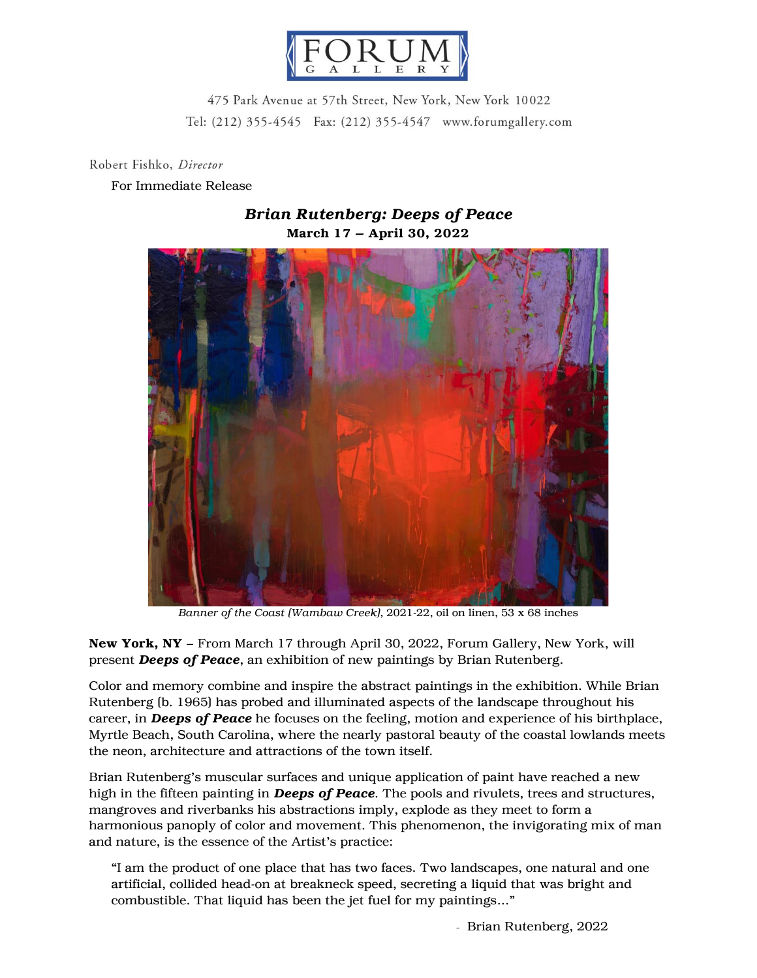

475 Park Avenue at 57th Street, New York, New York 10022 Tel: (212) 355-4545 Fax: (212) 355-4547 www.forumgallery.com

Robert Fishko, Director

## For Immediate Release

## March 17 – April 30, 2022

## *Brian Rutenberg: Deeps of Peace*

*Banner of the Coast (Wambaw Creek)*, 2021-22, oil on linen, 53 x 68 inches

New York, NY – From March 17 through April 30, 2022, Forum Gallery, New York, will present *Deeps of Peace*, an exhibition of new paintings by Brian Rutenberg.

Color and memory combine and inspire the abstract paintings in the exhibition. While Brian Rutenberg (b. 1965) has probed and illuminated aspects of the landscape throughout his career, in *Deeps of Peace* he focuses on the feeling, motion and experience of his birthplace, Myrtle Beach, South Carolina, where the nearly pastoral beauty of the coastal lowlands meets the neon, architecture and attractions of the town itself.

Brian Rutenberg's muscular surfaces and unique application of paint have reached a new high in the fifteen painting in *Deeps of Peace*. The pools and rivulets, trees and structures, mangroves and riverbanks his abstractions imply, explode as they meet to form a harmonious panoply of color and movement. This phenomenon, the invigorating mix of man and nature, is the essence of the Artist's practice:

"I am the product of one place that has two faces. Two landscapes, one natural and one artificial, collided head-on at breakneck speed, secreting a liquid that was bright and combustible. That liquid has been the jet fuel for my paintings…"